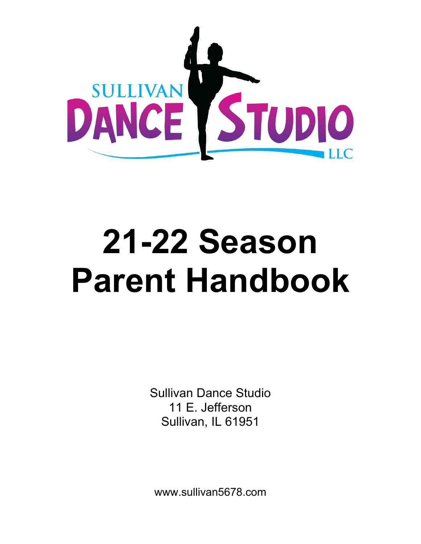

# **21-22 Season Parent Handbook**

Sullivan Dance Studio 11 E. Jefferson Sullivan, IL 61951

www.sullivan5678.com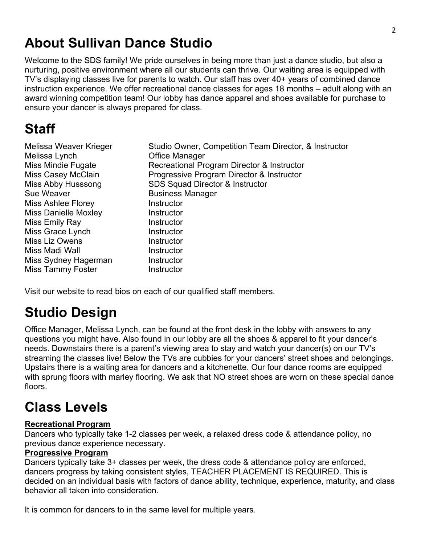## **About Sullivan Dance Studio**

Welcome to the SDS family! We pride ourselves in being more than just a dance studio, but also a nurturing, positive environment where all our students can thrive. Our waiting area is equipped with TV's displaying classes live for parents to watch. Our staff has over 40+ years of combined dance instruction experience. We offer recreational dance classes for ages 18 months – adult along with an award winning competition team! Our lobby has dance apparel and shoes available for purchase to ensure your dancer is always prepared for class.

# **Staff**

| Melissa Weaver Krieger | Studio Owner, Competition Team Director, & Instructor |
|------------------------|-------------------------------------------------------|
| Melissa Lynch          | <b>Office Manager</b>                                 |
| Miss Mindie Fugate     | Recreational Program Director & Instructor            |
| Miss Casey McClain     | Progressive Program Director & Instructor             |
| Miss Abby Husssong     | SDS Squad Director & Instructor                       |
| Sue Weaver             | <b>Business Manager</b>                               |
| Miss Ashlee Florey     | Instructor                                            |
| Miss Danielle Moxley   | Instructor                                            |
| Miss Emily Ray         | Instructor                                            |
| Miss Grace Lynch       | Instructor                                            |
| Miss Liz Owens         | Instructor                                            |
| Miss Madi Wall         | Instructor                                            |
| Miss Sydney Hagerman   | Instructor                                            |
| Miss Tammy Foster      | Instructor                                            |
|                        |                                                       |

Visit our website to read bios on each of our qualified staff members.

# **Studio Design**

Office Manager, Melissa Lynch, can be found at the front desk in the lobby with answers to any questions you might have. Also found in our lobby are all the shoes & apparel to fit your dancer's needs. Downstairs there is a parent's viewing area to stay and watch your dancer(s) on our TV's streaming the classes live! Below the TVs are cubbies for your dancers' street shoes and belongings. Upstairs there is a waiting area for dancers and a kitchenette. Our four dance rooms are equipped with sprung floors with marley flooring. We ask that NO street shoes are worn on these special dance floors.

# **Class Levels**

#### **Recreational Program**

Dancers who typically take 1-2 classes per week, a relaxed dress code & attendance policy, no previous dance experience necessary.

#### **Progressive Program**

Dancers typically take 3+ classes per week, the dress code & attendance policy are enforced, dancers progress by taking consistent styles, TEACHER PLACEMENT IS REQUIRED. This is decided on an individual basis with factors of dance ability, technique, experience, maturity, and class behavior all taken into consideration.

It is common for dancers to in the same level for multiple years.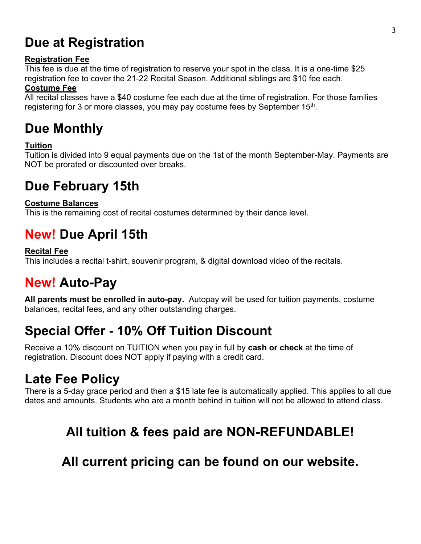## **Due at Registration**

#### **Registration Fee**

This fee is due at the time of registration to reserve your spot in the class. It is a one-time \$25 registration fee to cover the 21-22 Recital Season. Additional siblings are \$10 fee each.

#### **Costume Fee**

All recital classes have a \$40 costume fee each due at the time of registration. For those families registering for 3 or more classes, you may pay costume fees by September 15<sup>th</sup>.

## **Due Monthly**

#### **Tuition**

Tuition is divided into 9 equal payments due on the 1st of the month September-May. Payments are NOT be prorated or discounted over breaks.

#### **Due February 15th**

#### **Costume Balances**

This is the remaining cost of recital costumes determined by their dance level.

## **New! Due April 15th**

#### **Recital Fee**

This includes a recital t-shirt, souvenir program, & digital download video of the recitals.

## **New! Auto-Pay**

**All parents must be enrolled in auto-pay.** Autopay will be used for tuition payments, costume balances, recital fees, and any other outstanding charges.

## **Special Offer - 10% Off Tuition Discount**

Receive a 10% discount on TUITION when you pay in full by **cash or check** at the time of registration. Discount does NOT apply if paying with a credit card.

#### **Late Fee Policy**

There is a 5-day grace period and then a \$15 late fee is automatically applied. This applies to all due dates and amounts. Students who are a month behind in tuition will not be allowed to attend class.

## **All tuition & fees paid are NON-REFUNDABLE!**

#### **All current pricing can be found on our website.**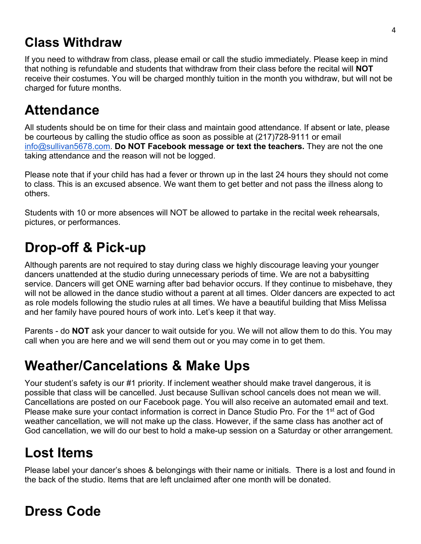## **Class Withdraw**

If you need to withdraw from class, please email or call the studio immediately. Please keep in mind that nothing is refundable and students that withdraw from their class before the recital will **NOT** receive their costumes. You will be charged monthly tuition in the month you withdraw, but will not be charged for future months.

## **Attendance**

All students should be on time for their class and maintain good attendance. If absent or late, please be courteous by calling the studio office as soon as possible at (217)728-9111 or email info@sullivan5678.com. **Do NOT Facebook message or text the teachers.** They are not the one taking attendance and the reason will not be logged.

Please note that if your child has had a fever or thrown up in the last 24 hours they should not come to class. This is an excused absence. We want them to get better and not pass the illness along to others.

Students with 10 or more absences will NOT be allowed to partake in the recital week rehearsals, pictures, or performances.

# **Drop-off & Pick-up**

Although parents are not required to stay during class we highly discourage leaving your younger dancers unattended at the studio during unnecessary periods of time. We are not a babysitting service. Dancers will get ONE warning after bad behavior occurs. If they continue to misbehave, they will not be allowed in the dance studio without a parent at all times. Older dancers are expected to act as role models following the studio rules at all times. We have a beautiful building that Miss Melissa and her family have poured hours of work into. Let's keep it that way.

Parents - do **NOT** ask your dancer to wait outside for you. We will not allow them to do this. You may call when you are here and we will send them out or you may come in to get them.

## **Weather/Cancelations & Make Ups**

Your student's safety is our #1 priority. If inclement weather should make travel dangerous, it is possible that class will be cancelled. Just because Sullivan school cancels does not mean we will. Cancellations are posted on our Facebook page. You will also receive an automated email and text. Please make sure your contact information is correct in Dance Studio Pro. For the 1<sup>st</sup> act of God weather cancellation, we will not make up the class. However, if the same class has another act of God cancellation, we will do our best to hold a make-up session on a Saturday or other arrangement.

# **Lost Items**

Please label your dancer's shoes & belongings with their name or initials. There is a lost and found in the back of the studio. Items that are left unclaimed after one month will be donated.

# **Dress Code**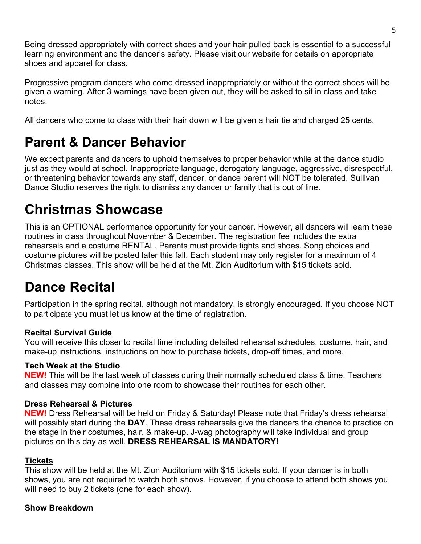Being dressed appropriately with correct shoes and your hair pulled back is essential to a successful learning environment and the dancer's safety. Please visit our website for details on appropriate shoes and apparel for class.

Progressive program dancers who come dressed inappropriately or without the correct shoes will be given a warning. After 3 warnings have been given out, they will be asked to sit in class and take notes.

All dancers who come to class with their hair down will be given a hair tie and charged 25 cents.

#### **Parent & Dancer Behavior**

We expect parents and dancers to uphold themselves to proper behavior while at the dance studio just as they would at school. Inappropriate language, derogatory language, aggressive, disrespectful, or threatening behavior towards any staff, dancer, or dance parent will NOT be tolerated. Sullivan Dance Studio reserves the right to dismiss any dancer or family that is out of line.

## **Christmas Showcase**

This is an OPTIONAL performance opportunity for your dancer. However, all dancers will learn these routines in class throughout November & December. The registration fee includes the extra rehearsals and a costume RENTAL. Parents must provide tights and shoes. Song choices and costume pictures will be posted later this fall. Each student may only register for a maximum of 4 Christmas classes. This show will be held at the Mt. Zion Auditorium with \$15 tickets sold.

## **Dance Recital**

Participation in the spring recital, although not mandatory, is strongly encouraged. If you choose NOT to participate you must let us know at the time of registration.

#### **Recital Survival Guide**

You will receive this closer to recital time including detailed rehearsal schedules, costume, hair, and make-up instructions, instructions on how to purchase tickets, drop-off times, and more.

#### **Tech Week at the Studio**

**NEW!** This will be the last week of classes during their normally scheduled class & time. Teachers and classes may combine into one room to showcase their routines for each other.

#### **Dress Rehearsal & Pictures**

**NEW!** Dress Rehearsal will be held on Friday & Saturday! Please note that Friday's dress rehearsal will possibly start during the **DAY**. These dress rehearsals give the dancers the chance to practice on the stage in their costumes, hair, & make-up. J-wag photography will take individual and group pictures on this day as well. **DRESS REHEARSAL IS MANDATORY!**

#### **Tickets**

This show will be held at the Mt. Zion Auditorium with \$15 tickets sold. If your dancer is in both shows, you are not required to watch both shows. However, if you choose to attend both shows you will need to buy 2 tickets (one for each show).

#### **Show Breakdown**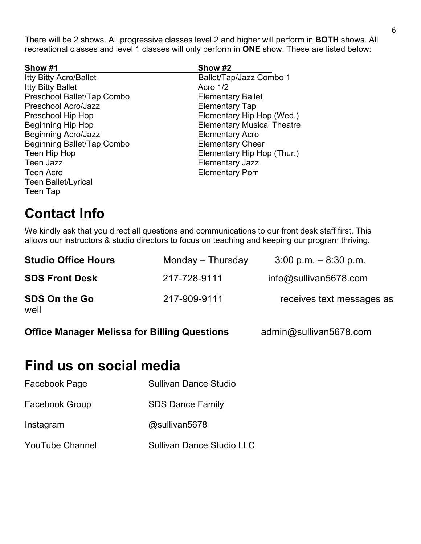There will be 2 shows. All progressive classes level 2 and higher will perform in **BOTH** shows. All recreational classes and level 1 classes will only perform in **ONE** show. These are listed below:

| Show #1                       | Show #2                           |
|-------------------------------|-----------------------------------|
| <b>Itty Bitty Acro/Ballet</b> | Ballet/Tap/Jazz Combo 1           |
| <b>Itty Bitty Ballet</b>      | Acro $1/2$                        |
| Preschool Ballet/Tap Combo    | <b>Elementary Ballet</b>          |
| Preschool Acro/Jazz           | <b>Elementary Tap</b>             |
| Preschool Hip Hop             | Elementary Hip Hop (Wed.)         |
| Beginning Hip Hop             | <b>Elementary Musical Theatre</b> |
| <b>Beginning Acro/Jazz</b>    | <b>Elementary Acro</b>            |
| Beginning Ballet/Tap Combo    | <b>Elementary Cheer</b>           |
| Teen Hip Hop                  | Elementary Hip Hop (Thur.)        |
| <b>Teen Jazz</b>              | <b>Elementary Jazz</b>            |
| <b>Teen Acro</b>              | <b>Elementary Pom</b>             |
| <b>Teen Ballet/Lyrical</b>    |                                   |
| Teen Tap                      |                                   |

## **Contact Info**

We kindly ask that you direct all questions and communications to our front desk staff first. This allows our instructors & studio directors to focus on teaching and keeping our program thriving.

| <b>Studio Office Hours</b>   | Monday – Thursday | $3:00$ p.m. $-8:30$ p.m.  |
|------------------------------|-------------------|---------------------------|
| <b>SDS Front Desk</b>        | 217-728-9111      | $info@s$ ullivan5678.com  |
| <b>SDS On the Go</b><br>well | 217-909-9111      | receives text messages as |

**Office Manager Melissa for Billing Questions** admin@sullivan5678.com

#### **Find us on social media**

| Facebook Page          | <b>Sullivan Dance Studio</b>     |
|------------------------|----------------------------------|
| <b>Facebook Group</b>  | <b>SDS Dance Family</b>          |
| Instagram              | @sullivan5678                    |
| <b>YouTube Channel</b> | <b>Sullivan Dance Studio LLC</b> |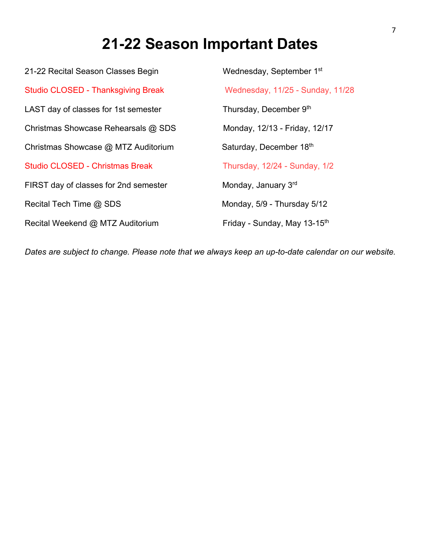## **21-22 Season Important Dates**

21-22 Recital Season Classes Begin Wednesday, September 1<sup>st</sup> Studio CLOSED - Thanksgiving Break Wednesday, 11/25 - Sunday, 11/28 LAST day of classes for 1st semester Thursday, December 9<sup>th</sup> Christmas Showcase Rehearsals @ SDS Monday, 12/13 - Friday, 12/17 Christmas Showcase @ MTZ Auditorium Saturday, December 18<sup>th</sup> Studio CLOSED - Christmas Break Thursday, 12/24 - Sunday, 1/2 FIRST day of classes for 2nd semester Monday, January 3rd Recital Tech Time @ SDS Monday, 5/9 - Thursday 5/12 Recital Weekend @ MTZ Auditorium Friday - Sunday, May 13-15<sup>th</sup>

*Dates are subject to change. Please note that we always keep an up-to-date calendar on our website.*